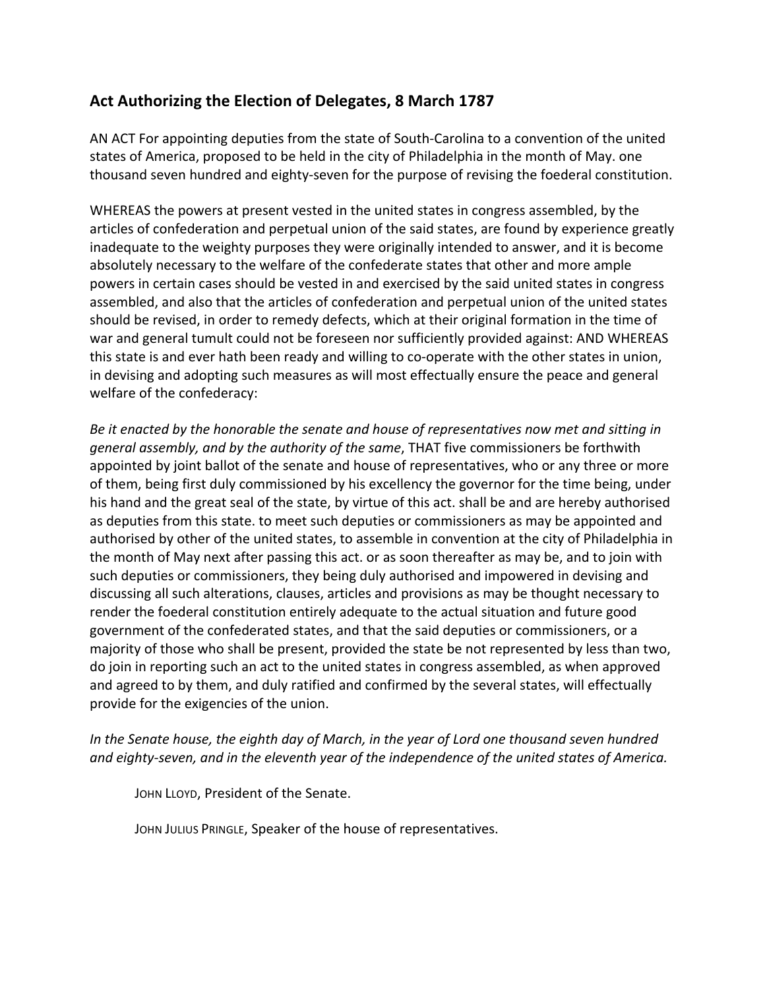## Act Authorizing the Election of Delegates, 8 March 1787

AN ACT For appointing deputies from the state of South-Carolina to a convention of the united states of America, proposed to be held in the city of Philadelphia in the month of May. one thousand seven hundred and eighty-seven for the purpose of revising the foederal constitution.

WHEREAS the powers at present vested in the united states in congress assembled, by the articles of confederation and perpetual union of the said states, are found by experience greatly inadequate to the weighty purposes they were originally intended to answer, and it is become absolutely necessary to the welfare of the confederate states that other and more ample powers in certain cases should be vested in and exercised by the said united states in congress assembled, and also that the articles of confederation and perpetual union of the united states should be revised, in order to remedy defects, which at their original formation in the time of war and general tumult could not be foreseen nor sufficiently provided against: AND WHEREAS this state is and ever hath been ready and willing to co-operate with the other states in union, in devising and adopting such measures as will most effectually ensure the peace and general welfare of the confederacy:

Be it enacted by the honorable the senate and house of representatives now met and sitting in *general assembly, and by the authority of the same,* THAT five commissioners be forthwith appointed by joint ballot of the senate and house of representatives, who or any three or more of them, being first duly commissioned by his excellency the governor for the time being, under his hand and the great seal of the state, by virtue of this act. shall be and are hereby authorised as deputies from this state. to meet such deputies or commissioners as may be appointed and authorised by other of the united states, to assemble in convention at the city of Philadelphia in the month of May next after passing this act. or as soon thereafter as may be, and to join with such deputies or commissioners, they being duly authorised and impowered in devising and discussing all such alterations, clauses, articles and provisions as may be thought necessary to render the foederal constitution entirely adequate to the actual situation and future good government of the confederated states, and that the said deputies or commissioners, or a majority of those who shall be present, provided the state be not represented by less than two, do join in reporting such an act to the united states in congress assembled, as when approved and agreed to by them, and duly ratified and confirmed by the several states, will effectually provide for the exigencies of the union.

## *In the Senate house, the eighth day of March, in the year of Lord one thousand seven hundred* and eighty-seven, and in the eleventh year of the independence of the united states of America.

JOHN LLOYD, President of the Senate.

JOHN JULIUS PRINGLE, Speaker of the house of representatives.